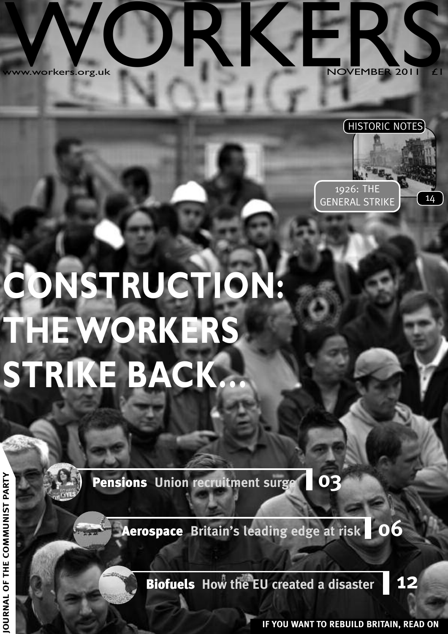w ww.workers.org.u k WANGREES.org.u O



### HISTORIC NOTES

GENERAL STRIKE 14

1926: THE



**Pensions Union recruitment surge 03**

**Aerospace Britain's leading edge at risk 06**

**Biofuels How the EU created <sup>a</sup> disaster 12**

**IF YOU WANT TO REBUILD BRITAIN, READ ON JO**

**Y**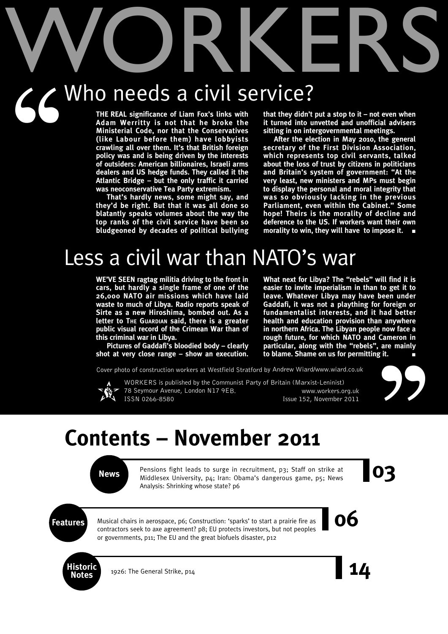# WORKERS Who needs a civil service?  $56'$

**THE REAL significance of Liam Fox's links with Adam Werritty is not that he broke the Ministerial Code, nor that the Conservatives (like Labour before them) have lobbyists crawling all over them. It's that British foreign policy was and is being driven by the interests of outsiders: American billionaires, Israeli arms dealers and US hedge funds. They called it the Atlantic Bridge – but the only traffic it carried was neoconservative Tea Party extremism.**

**That's hardly news, some might say, and they'd be right. But that it was all done so blatantly speaks volumes about the way the top ranks of the civil service have been so bludgeoned by decades of political bullying** **that they didn't put a stop to it – not even when it turned into unvetted and unofficial advisers sitting in on intergovernmental meetings.**

**After the election in May 2010, the general secretary of the First Division Association, which represents top civil servants, talked about the loss of trust by citizens in politicians and Britain's system of government: "At the very least, new ministers and MPs must begin to display the personal and moral integrity that was so obviously lacking in the previous Parliament, even within the Cabinet." Some hope! Theirs is the morality of decline and deference to the US. If workers want their own morality to win, they will have to impose it. ■**

# Less a civil war than NATO's war

**WE'VE SEEN ragtag militia driving to the front in cars, but hardly a single frame of one of the 26,000 NATO air missions which have laid waste to much of Libya. Radio reports speak of Sirte as a new Hiroshima, bombed out. As a letter to THE GUARDIAN said, there is a greater public visual record of the Crimean War than of this criminal war in Libya.**

**Pictures of Gaddafi's bloodied body – clearly shot at very close range – show an execution.** **What next for Libya? The "rebels" will find it is easier to invite imperialism in than to get it to leave. Whatever Libya may have been under Gaddafi, it was not a plaything for foreign or fundamentalist interests, and it had better health and education provision than anywhere in northern Africa. The Libyan people now face a rough future, for which NATO and Cameron in particular, along with the "rebels", are mainly to blame. Shame on us for permitting it. ■**

Cover photo of construction workers at Westfield Stratford by Andrew Wiard/www.wiard.co.uk

WORKERS is published by the Communist Party of Britain (Marxist-Leninist)



78 Seymour Avenue, London N17 9EB. www.workers.org.uk ISSN 0266-8580 Issue 152, November 2011



## **Contents – November 2011**

**News** Pensions fight leads to surge in recruitment, p3; Staff on strike at Middlesex University, p4; Iran: Obama's dangerous game, p5; News Pensions fight leads to surge in recruitment, p3; Staff on strike at Middlesex University, p4; Iran: Obama's dangerous game, p5; News Analysis: Shrinking whose state? p6

**Features** Musical chairs in aerospace, p6; Construction: 'sparks' to start a prairie fire as **OO** Musical chairs in aerospace, p6; Construction: 'sparks' to start a prairie fire as contractors seek to axe agreement? p8; EU protects investors, but not peoples or governments, p11; The EU and the great biofuels disaster, p12



**Notes** 1926: The General Strike, p14 **14** 

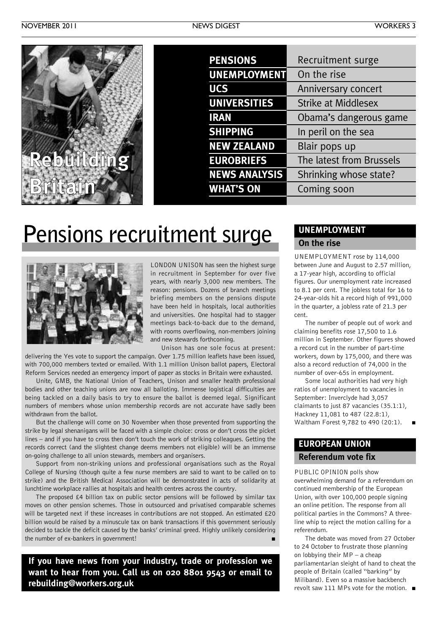

| <b>PENSIONS</b>      | Recruitment surge          |
|----------------------|----------------------------|
| <b>UNEMPLOYMENT</b>  | On the rise                |
| <b>UCS</b>           | Anniversary concert        |
| <b>UNIVERSITIES</b>  | <b>Strike at Middlesex</b> |
| <b>IRAN</b>          | Obama's dangerous game     |
| <b>SHIPPING</b>      | In peril on the sea        |
| <b>NEW ZEALAND</b>   | Blair pops up              |
| <b>EUROBRIEFS</b>    | The latest from Brussels   |
| <b>NEWS ANALYSIS</b> | Shrinking whose state?     |
| <b>WHAT'S ON</b>     | Coming soon                |
|                      |                            |

# **Pensions recruitment surge**



LONDON UNISON has seen the highest surge in recruitment in September for over five years, with nearly 3,000 new members. The reason: pensions. Dozens of branch meetings briefing members on the pensions dispute have been held in hospitals, local authorities and universities. One hospital had to stagger meetings back-to-back due to the demand, with rooms overflowing, non-members joining and new stewards forthcoming.

Unison has one sole focus at present: delivering the Yes vote to support the campaign. Over 1.75 million leaflets have been issued, with 700,000 members texted or emailed. With 1.1 million Unison ballot papers, Electoral Reform Services needed an emergency import of paper as stocks in Britain were exhausted.

Unite, GMB, the National Union of Teachers, Unison and smaller health professional bodies and other teaching unions are now all balloting. Immense logistical difficulties are being tackled on a daily basis to try to ensure the ballot is deemed legal. Significant numbers of members whose union membership records are not accurate have sadly been withdrawn from the ballot.

But the challenge will come on 30 November when those prevented from supporting the strike by legal shenanigans will be faced with a simple choice: cross or don't cross the picket lines – and if you have to cross then don't touch the work of striking colleagues. Getting the records correct (and the slightest change deems members not eligible) will be an immense on-going challenge to all union stewards, members and organisers.

Support from non-striking unions and professional organisations such as the Royal College of Nursing (though quite a few nurse members are said to want to be called on to strike) and the British Medical Association will be demonstrated in acts of solidarity at lunchtime workplace rallies at hospitals and health centres across the country.

The proposed £4 billion tax on public sector pensions will be followed by similar tax moves on other pension schemes. Those in outsourced and privatised comparable schemes will be targeted next if these increases in contributions are not stopped. An estimated £20 billion would be raised by a minuscule tax on bank transactions if this government seriously decided to tackle the deficit caused by the banks' criminal greed. Highly unlikely considering the number of ex-bankers in government! **■**

**If you have news from your industry, trade or profession we want to hear from you. Call us on 020 8801 9543 or email to rebuilding@workers.org.uk**

### **UNEMPLOYMENT On the rise**

UNEMPLOYMENT rose by 114,000 between June and August to 2.57 million, a 17-year high, according to official figures. Our unemployment rate increased to 8.1 per cent. The jobless total for 16 to 24-year-olds hit a record high of 991,000 in the quarter, a jobless rate of 21.3 per cent.

The number of people out of work and claiming benefits rose 17,500 to 1.6 million in September. Other figures showed a record cut in the number of part-time workers, down by 175,000, and there was also a record reduction of 74,000 in the number of over-65s in employment.

Some local authorities had very high ratios of unemployment to vacancies in September: Inverclyde had 3,057 claimants to just 87 vacancies (35.1:1), Hackney 11,081 to 487 (22.8:1), Waltham Forest 9,782 to 490 (20:1). **■**

### **EUROPEAN UNION Referendum vote fix**

PUBLIC OPINION polls show overwhelming demand for a referendum on continued membership of the European Union, with over 100,000 people signing an online petition. The response from all political parties in the Commons? A threeline whip to reject the motion calling for a referendum.

The debate was moved from 27 October to 24 October to frustrate those planning on lobbying their MP – a cheap parliamentarian sleight of hand to cheat the people of Britain (called "barking" by Miliband). Even so a massive backbench revolt saw 111 MPs vote for the motion. **■**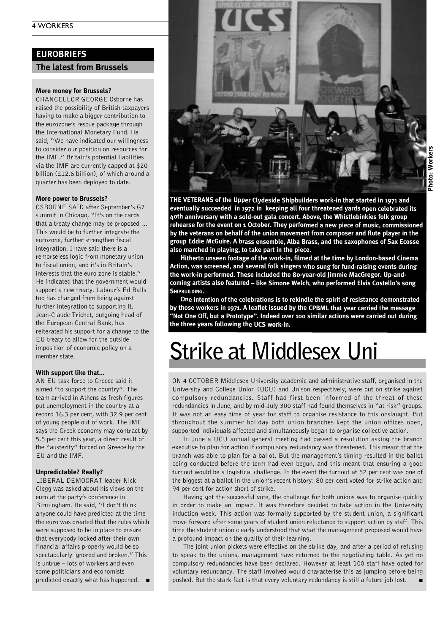### **EUROBRIEFS**

**The latest from Brussels**

### **More money for Brussels?**

CHANCELLOR GEORGE Osborne has raised the possibility of British taxpayers having to make a bigger contribution to the eurozone's rescue package through the International Monetary Fund. He said, "We have indicated our willingness to consider our position on resources for the IMF." Britain's potential liabilities via the IMF are currently capped at \$20 billion (£12.6 billion), of which around a quarter has been deployed to date.

#### **More power to Brussels?**

OSBORNE SAID after September's G7 summit in Chicago, "It's on the cards that a treaty change may be proposed … This would be to further integrate the eurozone, further strengthen fiscal integration. I have said there is a remorseless logic from monetary union to fiscal union, and it's in Britain's interests that the euro zone is stable." He indicated that the government would support a new treaty. Labour's Ed Balls too has changed from being against further integration to supporting it. Jean-Claude Trichet, outgoing head of the European Central Bank, has reiterated his support for a change to the EU treaty to allow for the outside imposition of economic policy on a member state.

#### **With support like that…**

AN EU task force to Greece said it aimed "to support the country". The team arrived in Athens as fresh figures put unemployment in the country at a record 16.3 per cent, with 32.9 per cent of young people out of work. The IMF says the Greek economy may contract by 5.5 per cent this year, a direct result of the "austerity" forced on Greece by the EU and the IMF.

### **Unpredictable? Really?**

LIBERAL DEMOCRAT leader Nick Clegg was asked about his views on the euro at the party's conference in Birmingham. He said, "I don't think anyone could have predicted at the time the euro was created that the rules which were supposed to be in place to ensure that everybody looked after their own financial affairs properly would be so spectacularly ignored and broken." This is untrue – lots of workers and even some politicians and economists predicted exactly what has happened. **■**



**THE VETERANS of the Upper Clydeside Shipbuilders work-in that started in 1971 and eventually succeeded in 1972 in keeping all four threatened yards open celebrated its 40th anniversary with <sup>a</sup> sold-out gala concert. Above, the Whistlebinkies folk group rehearse for the event on <sup>1</sup> October. They performed <sup>a</sup> new piece of music, commissioned by the veterans on behalf of the union movement from composer and flute player in the group Eddie McGuire. A brass ensemble, Alba Brass, and the saxophones of Sax Ecosse**

**also marched in playing, to take part in the piece. Hitherto unseen footage of the work-in, filmed at the time by London-based Cinema Action, was screened, and several folk singers who sung for fund-raising events during the work-in performed. These included the 80-year-old Jimmie MacGregor. Up-andcoming artists also featured – like Simone Welch, who performed Elvis Costello's song SHIPBUILDING.**

**One intention of the celebrations is to rekindle the spirit of resistance demonstrated by those workers in 1971. <sup>A</sup> leaflet issued by the CPBML that year carried the message "Not One Off, but <sup>a</sup> Prototype". Indeed over <sup>100</sup> similar actions were carried out during the three years following the UCS work-in.**

# **Strike at Middlesex Uni**

ON 4 OCTOBER Middlesex University academic and administrative staff, organised in the University and College Union (UCU) and Unison respectively, were out on strike against compulsory redundancies. Staff had first been informed of the threat of these redundancies in June, and by mid-July 300 staff had found themselves in "at risk" groups. It was not an easy time of year for staff to organise resistance to this onslaught. But throughout the summer holiday both union branches kept the union offices open, supported individuals affected and simultaneously began to organise collective action.

In June a UCU annual general meeting had passed a resolution asking the branch executive to plan for action if compulsory redundancy was threatened. This meant that the branch was able to plan for a ballot. But the management's timing resulted in the ballot being conducted before the term had even begun, and this meant that ensuring a good turnout would be a logistical challenge. In the event the turnout at 52 per cent was one of the biggest at a ballot in the union's recent history: 80 per cent voted for strike action and 94 per cent for action short of strike.

Having got the successful vote, the challenge for both unions was to organise quickly in order to make an impact. It was therefore decided to take action in the University induction week. This action was formally supported by the student union, a significant move forward after some years of student union reluctance to support action by staff. This time the student union clearly understood that what the management proposed would have a profound impact on the quality of their learning.

The joint union pickets were effective on the strike day, and after a period of refusing to speak to the unions, management have returned to the negotiating table. As yet no compulsory redundancies have been declared. However at least 100 staff have opted for voluntary redundancy. The staff involved would characterise this as jumping before being pushed. But the stark fact is that every voluntary redundancy is still a future job lost.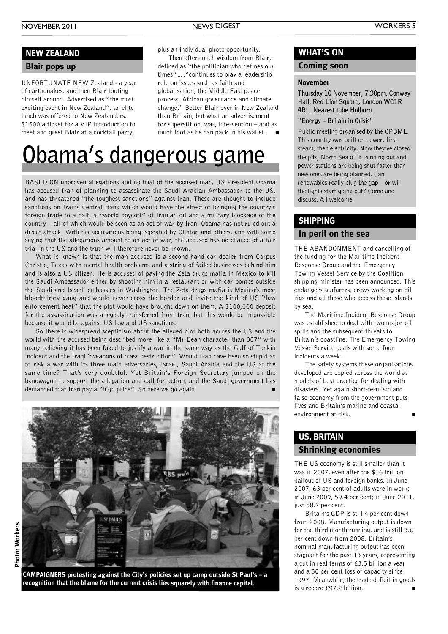### **Blair pops up NEW ZEALAND**

UNFORTUNATE NEW Zealand - a year of earthquakes, and then Blair touting himself around. Advertised as "the most exciting event in New Zealand", an elite lunch was offered to New Zealanders. \$1500 a ticket for a VIP introduction to meet and greet Blair at a cocktail party,

plus an individual photo opportunity.

Then after-lunch wisdom from Blair, defined as "the politician who defines our times"…."continues to play a leadership role on issues such as faith and globalisation, the Middle East peace process, African governance and climate change." Better Blair over in New Zealand than Britain, but what an advertisement for superstition, war, intervention – and as much loot as he can pack in his wallet. **■**

# **Obama's dangerous game**

BASED ON unproven allegations and no trial of the accused man, US President Obama has accused Iran of planning to assassinate the Saudi Arabian Ambassador to the US, and has threatened "the toughest sanctions" against Iran. These are thought to include sanctions on Iran's Central Bank which would have the effect of bringing the country's foreign trade to a halt, a "world boycott" of Iranian oil and a military blockade of the country – all of which would be seen as an act of war by Iran. Obama has not ruled out a direct attack. With his accusations being repeated by Clinton and others, and with some saying that the allegations amount to an act of war, the accused has no chance of a fair trial in the US and the truth will therefore never be known.

What is known is that the man accused is a second-hand car dealer from Corpus Christie, Texas with mental health problems and a string of failed businesses behind him and is also a US citizen. He is accused of paying the Zeta drugs mafia in Mexico to kill the Saudi Ambassador either by shooting him in a restaurant or with car bombs outside the Saudi and Israeli embassies in Washington. The Zeta drugs mafia is Mexico's most bloodthirsty gang and would never cross the border and invite the kind of US "law enforcement heat" that the plot would have brought down on them. A \$100,000 deposit for the assassination was allegedly transferred from Iran, but this would be impossible because it would be against US law and US sanctions.

So there is widespread scepticism about the alleged plot both across the US and the world with the accused being described more like a "Mr Bean character than 007" with many believing it has been faked to justify a war in the same way as the Gulf of Tonkin incident and the Iraqi "weapons of mass destruction". Would Iran have been so stupid as to risk a war with its three main adversaries, Israel, Saudi Arabia and the US at the same time? That's very doubtful. Yet Britain's Foreign Secretary jumped on the bandwagon to support the allegation and call for action, and the Saudi government has demanded that Iran pay a "high price". So here we go again. **■**



**CAMPAIGNERS protesting against the City's policies set up camp outside St Paul's – <sup>a</sup> recognition that the blame for the current crisis lies squarely with finance capital.**

### **WHAT'S ON**

### **Coming soon**

### **November**

**Thursday 10 November, 7.30pm. Conway Hall, Red Lion Square, London WC1R 4RL. Nearest tube Holborn.**

#### **"Energy – Britain in Crisis"**

Public meeting organised by the CPBML. This country was built on power: first steam, then electricity. Now they've closed the pits, North Sea oil is running out and power stations are being shut faster than new ones are being planned. Can renewables really plug the gap – or will the lights start going out? Come and discuss. All welcome.

### **SHIPPING**

### **In peril on the sea**

THE ABANDONMENT and cancelling of the funding for the Maritime Incident Response Group and the Emergency Towing Vessel Service by the Coalition shipping minister has been announced. This endangers seafarers, crews working on oil rigs and all those who access these islands by sea.

The Maritime Incident Response Group was established to deal with two major oil spills and the subsequent threats to Britain's coastline. The Emergency Towing Vessel Service deals with some four incidents a week.

The safety systems these organisations developed are copied across the world as models of best practice for dealing with disasters. Yet again short-termism and false economy from the government puts lives and Britain's marine and coastal environment at risk. **■**

### **US, BRITAIN**

### **Shrinking economies**

THE US economy is still smaller than it was in 2007, even after the \$16 trillion bailout of US and foreign banks. In June 2007, 63 per cent of adults were in work; in June 2009, 59.4 per cent; in June 2011, just 58.2 per cent.

Britain's GDP is still 4 per cent down from 2008. Manufacturing output is down for the third month running, and is still 3.6 per cent down from 2008. Britain's nominal manufacturing output has been stagnant for the past 13 years, representing a cut in real terms of £3.5 billion a year and a 30 per cent loss of capacity since 1997. Meanwhile, the trade deficit in goods is a record £97.2 billion.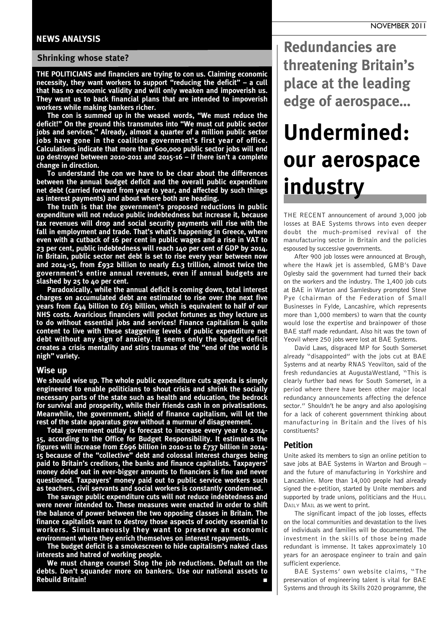### **NEWS ANALYSIS**

### **Shrinking whose state?**

**THE POLITICIANS and financiers are trying to con us. Claiming economic necessity, they want workers to support "reducing the deficit" – a cull that has no economic validity and will only weaken and impoverish us. They want us to back financial plans that are intended to impoverish workers while making bankers richer.**

**The con is summed up in the weasel words, "We must reduce the deficit!" On the ground this transmutes into "We must cut public sector jobs and services." Already, almost a quarter of a million public sector jobs have gone in the coalition government's first year of office. Calculations indicate that more than 600,000 public sector jobs will end up destroyed between 2010-2011 and 2015-16 – if there isn't a complete change in direction.**

**To understand the con we have to be clear about the differences between the annual budget deficit and the overall public expenditure net debt (carried forward from year to year, and affected by such things as interest payments) and about where both are heading.**

**The truth is that the government's proposed reductions in public expenditure will not reduce public indebtedness but increase it, because tax revenues will drop and social security payments will rise with the fall in employment and trade. That's what's happening in Greece, where even with a cutback of 16 per cent in public wages and a rise in VAT to 23 per cent, public indebtedness will reach 140 per cent of GDP by 2014. In Britain, public sector net debt is set to rise every year between now and 2014-15, from £932 billion to nearly £1.3 trillion, almost twice the government's entire annual revenues, even if annual budgets are slashed by 25 to 40 per cent.**

**Paradoxically, while the annual deficit is coming down, total interest charges on accumulated debt are estimated to rise over the next five years from £44 billion to £63 billion, which is equivalent to half of our NHS costs. Avaricious financiers will pocket fortunes as they lecture us to do without essential jobs and services! Finance capitalism is quite content to live with these staggering levels of public expenditure net debt without any sign of anxiety. It seems only the budget deficit creates a crisis mentality and stirs traumas of the "end of the world is nigh" variety.**

### **Wise up**

**We should wise up. The whole public expenditure cuts agenda is simply engineered to enable politicians to shout crisis and shrink the socially necessary parts of the state such as health and education, the bedrock for survival and prosperity, while their friends cash in on privatisations. Meanwhile, the government, shield of finance capitalism, will let the rest of the state apparatus grow without a murmur of disagreement.**

**Total government outlay is forecast to increase every year to 2014- 15, according to the Office for Budget Responsibility. It estimates the figures will increase from £696 billion in 2010-11 to £737 billion in 2014- 15 because of the "collective" debt and colossal interest charges being paid to Britain's creditors, the banks and finance capitalists. Taxpayers' money doled out in ever-bigger amounts to financiers is fine and never questioned. Taxpayers' money paid out to public service workers such as teachers, civil servants and social workers is constantly condemned.**

**The savage public expenditure cuts will not reduce indebtedness and were never intended to. These measures were enacted in order to shift the balance of power between the two opposing classes in Britain. The finance capitalists want to destroy those aspects of society essential to workers. Simultaneously they want to preserve an economic environment where they enrich themselves on interest repayments.**

**The budget deficit is a smokescreen to hide capitalism's naked class interests and hatred of working people.**

**We must change course! Stop the job reductions. Default on the debts. Don't squander more on bankers. Use our national assets to Rebuild Britain! ■**

**Redundancies are threatening Britain's place at the leading edge of aerospace…**

# **Undermined: our aerospace industry**

THE RECENT announcement of around 3,000 job losses at BAE Systems throws into even deeper doubt the much-promised revival of the manufacturing sector in Britain and the policies espoused by successive governments.

After 900 job losses were announced at Brough, where the Hawk jet is assembled, GMB's Dave Oglesby said the government had turned their back on the workers and the industry. The 1,400 job cuts at BAE in Warton and Samlesbury prompted Steve Pye (chairman of the Federation of Small Businesses in Fylde, Lancashire, which represents more than 1,000 members) to warn that the county would lose the expertise and brainpower of those BAE staff made redundant. Also hit was the town of Yeovil where 250 jobs were lost at BAE Systems.

David Laws, disgraced MP for South Somerset already "disappointed" with the jobs cut at BAE Systems and at nearby RNAS Yeovilton, said of the fresh redundancies at AugustaWestland, "This is clearly further bad news for South Somerset, in a period where there have been other major local redundancy announcements affecting the defence sector." Shouldn't he be angry and also apologising for a lack of coherent government thinking about manufacturing in Britain and the lives of his constituents?

#### **Petition**

Unite asked its members to sign an online petition to save jobs at BAE Systems in Warton and Brough – and the future of manufacturing in Yorkshire and Lancashire. More than 14,000 people had already signed the e-petition, started by Unite members and supported by trade unions, politicians and the HULL DAILY MAIL as we went to print.

The significant impact of the job losses, effects on the local communities and devastation to the lives of individuals and families will be documented. The investment in the skills of those being made redundant is immense. It takes approximately 10 years for an aerospace engineer to train and gain sufficient experience.

BAE Systems' own website claims, "The preservation of engineering talent is vital for BAE Systems and through its Skills 2020 programme, the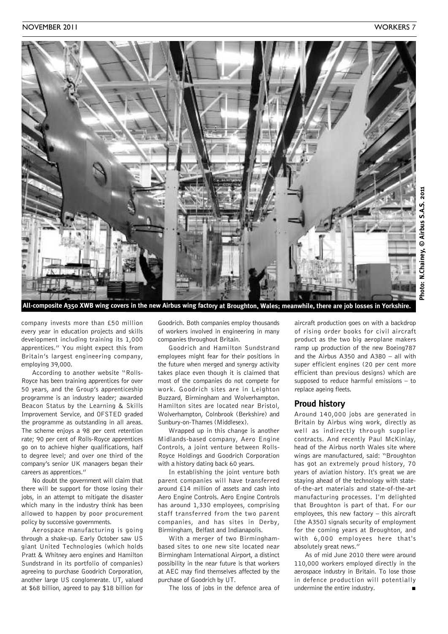

company invests more than £50 million every year in education projects and skills development including training its 1,000 apprentices." You might expect this from Britain's largest engineering company, employing 39,000.

According to another website "Rolls-Royce has been training apprentices for over 50 years, and the Group's apprenticeship programme is an industry leader; awarded Beacon Status by the Learning & Skills Improvement Service, and OFSTED graded the programme as outstanding in all areas. The scheme enjoys a 98 per cent retention rate; 90 per cent of Rolls-Royce apprentices go on to achieve higher qualifications, half to degree level; and over one third of the company's senior UK managers began their careers as apprentices."

No doubt the government will claim that there will be support for those losing their jobs, in an attempt to mitigate the disaster which many in the industry think has been allowed to happen by poor procurement policy by successive governments.

Aerospace manufacturing is going through a shake-up. Early October saw US giant United Technologies (which holds Pratt & Whitney aero engines and Hamilton Sundstrand in its portfolio of companies) agreeing to purchase Goodrich Corporation, another large US conglomerate. UT, valued at \$68 billion, agreed to pay \$18 billion for

Goodrich. Both companies employ thousands of workers involved in engineering in many companies throughout Britain.

Goodrich and Hamilton Sundstrand employees might fear for their positions in the future when merged and synergy activity takes place even though it is claimed that most of the companies do not compete for work. Goodrich sites are in Leighton Buzzard, Birmingham and Wolverhampton. Hamilton sites are located near Bristol, Wolverhampton, Colnbrook (Berkshire) and Sunbury-on-Thames (Middlesex).

Wrapped up in this change is another Midlands-based company, Aero Engine Controls, a joint venture between Rolls-Royce Holdings and Goodrich Corporation with a history dating back 60 years.

In establishing the joint venture both parent companies will have transferred around £14 million of assets and cash into Aero Engine Controls. Aero Engine Controls has around 1,330 employees, comprising staff transferred from the two parent companies, and has sites in Derby, Birmingham, Belfast and Indianapolis.

With a merger of two Birminghambased sites to one new site located near Birmingham International Airport, a distinct possibility in the near future is that workers at AEC may find themselves affected by the purchase of Goodrich by UT.

The loss of jobs in the defence area of

aircraft production goes on with a backdrop of rising order books for civil aircraft product as the two big aeroplane makers ramp up production of the new Boeing787 and the Airbus A350 and A380 – all with super efficient engines (20 per cent more efficient than previous designs) which are supposed to reduce harmful emissions – to replace ageing fleets.

### **Proud history**

Around 140,000 jobs are generated in Britain by Airbus wing work, directly as well as indirectly through supplier contracts. And recently Paul McKinlay, head of the Airbus north Wales site where wings are manufactured, said: "Broughton has got an extremely proud history, 70 years of aviation history. It's great we are staying ahead of the technology with stateof-the-art materials and state-of-the-art manufacturing processes. I'm delighted that Broughton is part of that. For our employees, this new factory – this aircraft [the A350] signals security of employment for the coming years at Broughton, and with 6,000 employees here that's absolutely great news."

As of mid June 2010 there were around 110,000 workers employed directly in the aerospace industry in Britain. To lose those in defence production will potentially undermine the entire industry.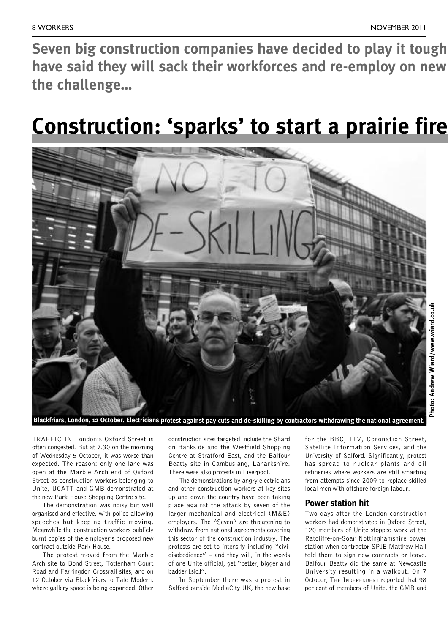Seven big construction companies have decided to play it tough have said they will sack their workforces and re-employ on new **the challenge…**

# **Construction: 'sparks' to start a prairie fire**



Blackfriars, London, 12 October. Electricians protest against pay cuts and de-skilling by contractors withdrawing the national agreement.

TRAFFIC IN London's Oxford Street is often congested. But at 7.30 on the morning of Wednesday 5 October, it was worse than expected. The reason: only one lane was open at the Marble Arch end of Oxford Street as construction workers belonging to Unite, UCATT and GMB demonstrated at the new Park House Shopping Centre site.

The demonstration was noisy but well organised and effective, with police allowing speeches but keeping traffic moving. Meanwhile the construction workers publicly burnt copies of the employer's proposed new contract outside Park House.

The protest moved from the Marble Arch site to Bond Street, Tottenham Court Road and Farringdon Crossrail sites, and on 12 October via Blackfriars to Tate Modern, where gallery space is being expanded. Other

construction sites targeted include the Shard on Bankside and the Westfield Shopping Centre at Stratford East, and the Balfour Beatty site in Cambuslang, Lanarkshire. There were also protests in Liverpool.

The demonstrations by angry electricians and other construction workers at key sites up and down the country have been taking place against the attack by seven of the larger mechanical and electrical (M&E) employers. The "Seven" are threatening to withdraw from national agreements covering this sector of the construction industry. The protests are set to intensify including "civil disobedience" – and they will, in the words of one Unite official, get "better, bigger and badder [sic]".

In September there was a protest in Salford outside MediaCity UK, the new base

for the BBC, ITV, Coronation Street, Satellite Information Services, and the University of Salford. Significantly, protest has spread to nuclear plants and oil refineries where workers are still smarting from attempts since 2009 to replace skilled local men with offshore foreign labour.

### **Power station hit**

Two days after the London construction workers had demonstrated in Oxford Street, 120 members of Unite stopped work at the Ratcliffe-on-Soar Nottinghamshire power station when contractor SPIE Matthew Hall told them to sign new contracts or leave. Balfour Beatty did the same at Newcastle University resulting in a walkout. On 7 October, THE INDEPENDENT reported that 98 per cent of members of Unite, the GMB and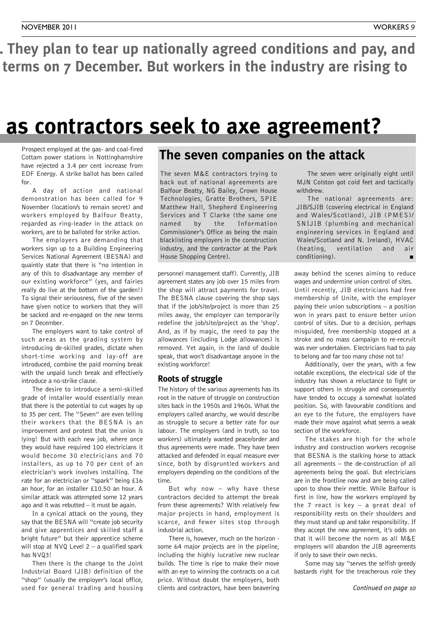. They plan to tear up nationally agreed conditions and pay, and terms on 7 December. But workers in the industry are rising to

### **Construction: 'sparks' to start a prairie fire as contractors seek to axe agreement?**

Prospect employed at the gas- and coal-fired Cottam power stations in Nottinghamshire have rejected a 3.4 per cent increase from EDF Energy. A strike ballot has been called for.

A day of action and national demonstration has been called for 9 November (location/s to remain secret) and workers employed by Balfour Beatty, regarded as ring-leader in the attack on workers, are to be balloted for strike action.

The employers are demanding that workers sign up to a Building Engineering Services National Agreement (BESNA) and quaintly state that there is "no intention in any of this to disadvantage any member of our existing workforce" (yes, and fairies really do live at the bottom of the garden!) To signal their seriousness, five of the seven have given notice to workers that they will be sacked and re-engaged on the new terms on 7 December.

The employers want to take control of such areas as the grading system by introducing de-skilled grades, dictate when short-time working and lay-off are introduced, combine the paid morning break with the unpaid lunch break and effectively introduce a no-strike clause.

The desire to introduce a semi-skilled grade of installer would essentially mean that there is the potential to cut wages by up to 35 per cent. The "Seven" are even telling their workers that the BESNA is an improvement and protest that the union is lying! But with each new job, where once they would have required 100 electricians it would become 30 electricians and 70 installers, as up to 70 per cent of an electrician's work involves installing. The rate for an electrician or "spark" being £16 an hour, for an installer £10.50 an hour. A similar attack was attempted some 12 years ago and it was rebutted – it must be again.

In a cynical attack on the young, they say that the BESNA will "create job security and give apprentices and skilled staff a bright future" but their apprentice scheme will stop at  $NVO$  Level 2 – a qualified spark has NVQ3!

Then there is the change to the Joint Industrial Board (JIB) definition of the "shop" (usually the employer's local office, used for general trading and housing

### **The seven companies on the attack**

The seven M&E contractors trying to back out of national agreements are Balfour Beatty, NG Bailey, Crown House Technologies, Gratte Brothers, SPIE Matthew Hall, Shepherd Engineering Services and T Clarke (the same one named by the Information Commissioner's Office as being the main blacklisting employers in the construction industry, and the contractor at the Park House Shopping Centre).

personnel management staff). Currently, JIB agreement states any job over 15 miles from the shop will attract payments for travel. The BESNA clause covering the shop says that if the job/site/project is more than 25 miles away, the employer can temporarily redefine the job/site/project as the 'shop'. And, as if by magic, the need to pay the allowances (including Lodge allowances) is removed. Yet again, in the land of double speak, that won't disadvantage anyone in the existing workforce!

### **Roots of struggle**

The history of the various agreements has its root in the nature of struggle on construction sites back in the 1950s and 1960s. What the employers called anarchy, we would describe as struggle to secure a better rate for our labour. The employers (and in truth, so too workers) ultimately wanted peace/order and thus agreements were made. They have been attacked and defended in equal measure ever since, both by disgruntled workers and employers depending on the conditions of the time.

But why now – why have these contractors decided to attempt the break from these agreements? With relatively few major projects in hand, employment is scarce, and fewer sites stop through industrial action.

There is, however, much on the horizon some 64 major projects are in the pipeline, including the highly lucrative new nuclear builds. The time is ripe to make their move with an eye to winning the contracts on a cut price. Without doubt the employers, both clients and contractors, have been beavering

The seven were originally eight until MJN Colston got cold feet and tactically withdrew.

The national agreements are: JIB/SJIB (covering electrical in England and Wales/Scotland), JIB (PMES)/ SNIJIB (plumbing and mechanical engineering services in England and Wales/Scotland and N. Ireland), HVAC (heating, ventilation and air conditioning).

away behind the scenes aiming to reduce wages and undermine union control of sites. Until recently, JIB electricians had free membership of Unite, with the employer paying their union subscriptions – a position won in years past to ensure better union control of sites. Due to a decision, perhaps misguided, free membership stopped at a stroke and no mass campaign to re-recruit was ever undertaken. Electricians had to pay to belong and far too many chose not to!

Additionally, over the years, with a few notable exceptions, the electrical side of the industry has shown a reluctance to fight or support others in struggle and consequently have tended to occupy a somewhat isolated position. So, with favourable conditions and an eye to the future, the employers have made their move against what seems a weak section of the workforce.

The stakes are high for the whole industry and construction workers recognise that BESNA is the stalking horse to attack all agreements – the de-construction of all agreements being the goal. But electricians are in the frontline now and are being called upon to show their mettle. While Balfour is first in line, how the workers employed by the 7 react is key – a great deal of responsibility rests on their shoulders and they must stand up and take responsibility. If they accept the new agreement, it's odds on that it will become the norm as all M&E employers will abandon the JIB agreements if only to save their own necks.

Some may say "serves the selfish greedy bastards right for the treacherous role they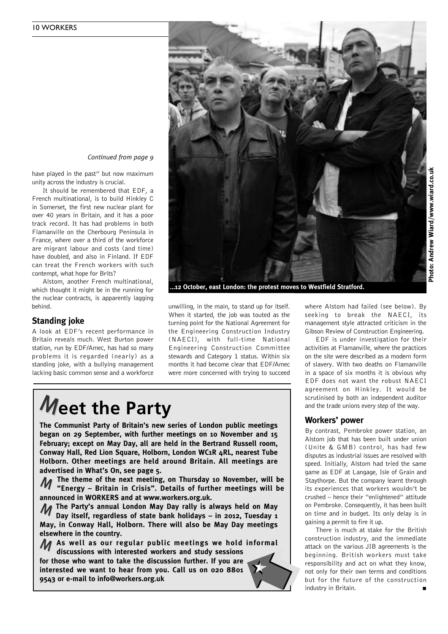

**…12 October, east London: the protest moves to Westfield Stratford.**

unwilling, in the main, to stand up for itself. When it started, the job was touted as the turning point for the National Agreement for the Engineering Construction Industry (NAECI), with full-time National Engineering Construction Committee stewards and Category 1 status. Within six months it had become clear that EDF/Amec were more concerned with trying to succeed

# **Meet the Party**

have played in the past" but now maximum

It should be remembered that EDF, a French multinational, is to build Hinkley C in Somerset, the first new nuclear plant for over 40 years in Britain, and it has a poor track record. It has had problems in both Flamanville on the Cherbourg Peninsula in France, where over a third of the workforce are migrant labour and costs (and time) have doubled, and also in Finland. If EDF can treat the French workers with such

*Continued from page 9*

Alstom, another French multinational, which thought it might be in the running for the nuclear contracts, is apparently lagging

A look at EDF's recent performance in Britain reveals much. West Burton power station, run by EDF/Amec, has had so many problems it is regarded (nearly) as a standing joke, with a bullying management lacking basic common sense and a workforce

unity across the industry is crucial.

contempt, what hope for Brits?

behind.

**Standing joke**

**The Communist Party of Britain's new series of London public meetings began on 29 September, with further meetings on 10 November and 15 February; except on May Day, all are held in the Bertrand Russell room, Conway Hall, Red Lion Square, Holborn, London WC1R 4RL, nearest Tube Holborn. Other meetings are held around Britain. All meetings are advertised in What's On, see page 5.**

**The theme of the next meeting, on Thursday 10 November, will be "Energy – Britain in Crisis". Details of further meetings will be** M **announced in WORKERS and at www.workers.org.uk.**

**The Party's annual London May Day rally is always held on May** M **Day itself, regardless of state bank holidays – in 2012, Tuesday 1 May, in Conway Hall, Holborn. There will also be May Day meetings elsewhere in the country.**

**As well as our regular public meetings we hold informal** M **discussions with interested workers and study sessions**

**for those who want to take the discussion further. If you are interested we want to hear from you. Call us on 020 8801 9543 or e-mail to info@workers.org.uk**



where Alstom had failed (see below). By seeking to break the NAECI, its management style attracted criticism in the Gibson Review of Construction Engineering.

EDF is under investigation for their activities at Flamanville, where the practices on the site were described as a modern form of slavery. With two deaths on Flamanville in a space of six months it is obvious why EDF does not want the robust NAECI agreement on Hinkley. It would be scrutinised by both an independent auditor and the trade unions every step of the way.

### **Workers' power**

By contrast, Pembroke power station, an Alstom job that has been built under union (Unite & GMB) control, has had few disputes as industrial issues are resolved with speed. Initially, Alstom had tried the same game as EDF at Langage, Isle of Grain and Staythorpe. But the company learnt through its experiences that workers wouldn't be crushed – hence their "enlightened" attitude on Pembroke. Consequently, it has been built on time and in budget. Its only delay is in gaining a permit to fire it up.

There is much at stake for the British construction industry, and the immediate attack on the various JIB agreements is the beginning. British workers must take responsibility and act on what they know, not only for their own terms and conditions but for the future of the construction industry in Britain. **■**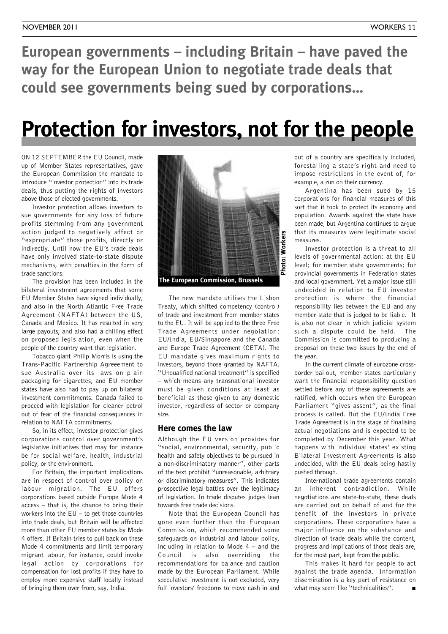**European governments – including Britain – have paved the way for the European Union to negotiate trade deals that could see governments being sued by corporations…**

# **Protection for investors, not for the people**

ON 12 SEPTEMBER the EU Council, made up of Member States representatives, gave the European Commission the mandate to introduce "investor protection" into its trade deals, thus putting the rights of investors above those of elected governments.

Investor protection allows investors to sue governments for any loss of future profits stemming from any government action judged to negatively affect or "expropriate" those profits, directly or indirectly. Until now the EU's trade deals have only involved state-to-state dispute mechanisms, with penalties in the form of trade sanctions.

The provision has been included in the bilateral investment agreements that some EU Member States have signed individually, and also in the North Atlantic Free Trade Agreement (NAFTA) between the US, Canada and Mexico. It has resulted in very large payouts, and also had a chilling effect on proposed legislation, even when the people of the country want that legislation.

Tobacco giant Philip Morris is using the Trans-Pacific Partnership Agreeement to sue Australia over its laws on plain packaging for cigarettes, and EU member states have also had to pay up on bilateral investment commitments. Canada failed to proceed with legislation for cleaner petrol out of fear of the financial consequences in relation to NAFTA commitments.

So, in its effect, investor protection gives corporations control over government's legislative initiatives that may for instance be for social welfare, health, industrial policy, or the environment.

For Britain, the important implications are in respect of control over policy on labour migration. The EU offers corporations based outside Europe Mode 4 access – that is, the chance to bring their workers into the  $EU -$  to get those countries into trade deals, but Britain will be affected more than other EU member states by Mode 4 offers. If Britain tries to pull back on these Mode 4 commitments and limit temporary migrant labour, for instance, could invoke legal action by corporations for compensation for lost profits if they have to employ more expensive staff locally instead of bringing them over from, say, India.



The new mandate utilises the Lisbon Treaty, which shifted competency (control) of trade and investment from member states to the EU. It will be applied to the three Free Trade Agreements under negoiation: EU/India, EU/Singapore and the Canada and Europe Trade Agreement (CETA). The EU mandate gives maximum rights to investors, beyond those granted by NAFTA. "Unqualified national treatment" is specified – which means any transnational investor must be given conditions at least as beneficial as those given to any domestic investor, regardless of sector or company size.

### **Here comes the law**

Although the EU version provides for "social, environmental, security, public health and safety objectives to be pursued in a non-discriminatory manner", other parts of the text prohibit "unreasonable, arbitrary or discriminatory measures". This indicates prospective legal battles over the legitimacy of legislation. In trade disputes judges lean towards free trade decisions.

Note that the European Council has gone even further than the European Commission, which recommended some safeguards on industrial and labour policy, including in relation to Mode  $4 -$  and the Council is also overriding the recommendations for balance and caution made by the European Parliament. While speculative investment is not excluded, very full investors' freedoms to move cash in and

out of a country are specifically included, forestalling a state's right and need to impose restrictions in the event of, for example, a run on their currency.

Argentina has been sued by 15 corporations for financial measures of this sort that it took to protect its economy and population. Awards against the state have been made, but Argentina continues to argue that its measures were legitimate social measures.

Investor protection is a threat to all levels of governmental action: at the EU level; for member state governments; for provincial governments in Federation states and local government. Yet a major issue still undecided in relation to EU investor protection is where the financial responsibility lies between the EU and any member state that is judged to be liable. It is also not clear in which judicial system such a dispute could be held. The Commission is committed to producing a proposal on these two issues by the end of the year.

In the current climate of eurozone crossborder bailout, member states particularly want the financial responsibility question settled before any of these agreements are ratified, which occurs when the European Parliament "gives assent", as the final process is called. But the EU/India Free Trade Agreement is in the stage of finalising actual negotiations and is expected to be completed by December this year. What happens with individual states' existing Bilateral Investment Agreements is also undecided, with the EU deals being hastily pushed through.

International trade agreements contain an inherent contradiction. While negotiations are state-to-state, these deals are carried out on behalf of and for the benefit of the investors in private corporations. These corporations have a major influence on the substance and direction of trade deals while the content, progress and implications of those deals are, for the most part, kept from the public.

This makes it hard for people to act against the trade agenda. Information dissemination is a key part of resistance on what may seem like "technicalities".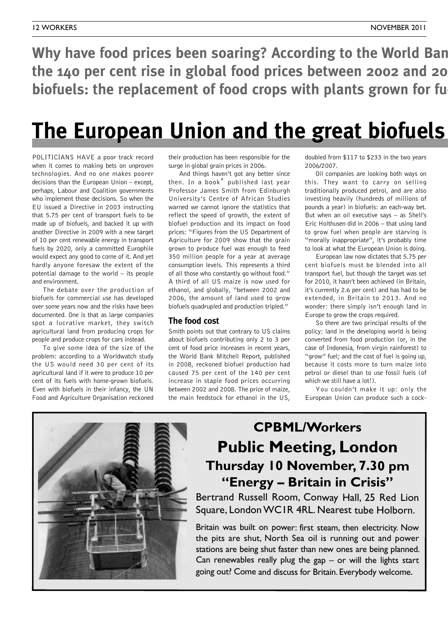**Why** have food prices been soaring? According to the World Ban **the 140 per cent rise in global food prices between 2002 and 2008 was due to** *biofuels: the replacement of food crops with plants grown for fu* 

# **The European Union and the great biofuels**

POLITICIANS HAVE a poor track record when it comes to making bets on unproven technologies. And no one makes poorer decisions than the European Union – except, perhaps, Labour and Coalition governments who implement those decisions. So when the EU issued a Directive in 2003 instructing that 5.75 per cent of transport fuels to be made up of biofuels, and backed it up with another Directive in 2009 with a new target of 10 per cent renewable energy in transport fuels by 2020, only a committed Europhile would expect any good to come of it. And yet hardly anyone foresaw the extent of the potential damage to the world – its people and environment.

The debate over the production of biofuels for commercial use has developed over some years now and the risks have been documented. One is that as large companies spot a lucrative market, they switch agricultural land from producing crops for people and produce crops for cars instead.

To give some idea of the size of the problem: according to a Worldwatch study the US would need 30 per cent of its agricultural land if it were to produce 10 per cent of its fuels with home-grown biofuels. Even with biofuels in their infancy, the UN Food and Agriculture Organisation reckoned

their production has been responsible for the surge in global grain prices in 2006.

And things haven't got any better since then. In a book\* published last year Professor James Smith from Edinburgh University's Centre of African Studies warned we cannot ignore the statistics that reflect the speed of growth, the extent of biofuel production and its impact on food prices: "Figures from the US Department of Agriculture for 2009 show that the grain grown to produce fuel was enough to feed 350 million people for a year at average consumption levels. This represents a third of all those who constantly go without food." A third of all US maize is now used for ethanol, and globally, "between 2002 and 2006, the amount of land used to grow biofuels quadrupled and production tripled."

### **The food cost**

Smith points out that contrary to US claims about biofuels contributing only 2 to 3 per cent of food price increases in recent years, the World Bank Mitchell Report, published in 2008, reckoned biofuel production had caused 75 per cent of the 140 per cent increase in staple food prices occurring between 2002 and 2008. The price of maize, the main feedstock for ethanol in the US,

doubled from \$117 to \$233 in the two years 2006/2007.

Oil companies are looking both ways on this. They want to carry on selling traditionally produced petrol, and are also investing heavily (hundreds of millions of pounds a year) in biofuels: an each-way bet. But when an oil executive says – as Shell's Eric Holthusen did in 2006 – that using land to grow fuel when people are starving is "morally inappropriate", it's probably time to look at what the European Union is doing.

European law now dictates that 5.75 per cent biofuels must be blended into all transport fuel, but though the target was set for 2010, it hasn't been achieved (in Britain, it's currently 2.6 per cent) and has had to be extended, in Britain to 2013. And no wonder: there simply isn't enough land in Europe to grow the crops required.

So there are two principal results of the policy: land in the developing world is being converted from food production (or, in the case of Indonesia, from virgin rainforest) to "grow" fuel; and the cost of fuel is going up, because it costs more to turn maize into petrol or diesel than to use fossil fuels (of which we still have a lot!).

You couldn't make it up: only the European Union can produce such a cock-



### **CPBML/Workers Public Meeting, London Thursday 10 November, 7.30 pm "Energy – Britain in Crisis"**

Bertrand Russell Room, Conway Hall, 25 Red Lion Square, LondonWC1R 4RL. Nearest tube Holborn.

Britain was built on power: first steam, then electricity. Now the pits are shut, North Sea oil is running out and power stations are being shut faster than new ones are being planned. Can renewables really plug the gap  $-$  or will the lights start going out? Come and discuss for Britain. Everybody welcome.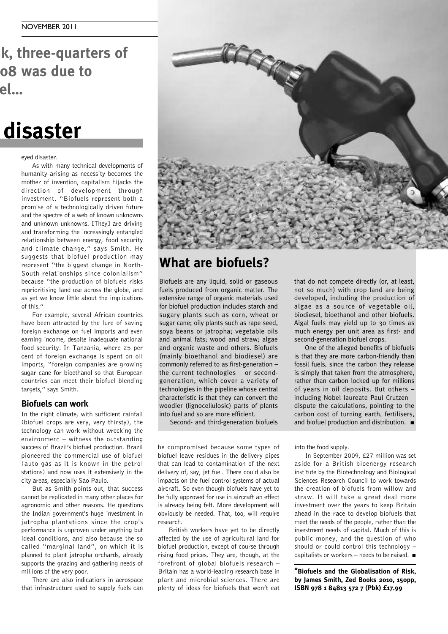**k**, three-quarters of **h z p c due to price price biofuels: the replacement of food crops with plants grown for fuel…**

# **disaster**

#### eyed disaster.

As with many technical developments of humanity arising as necessity becomes the mother of invention, capitalism hijacks the direction of development through investment. "Biofuels represent both a promise of a technologically driven future and the spectre of a web of known unknowns and unknown unknowns. [They] are driving and transforming the increasingly entangled relationship between energy, food security and climate change," says Smith. He suggests that biofuel production may represent "the biggest change in North-South relationships since colonialism" because "the production of biofuels risks reprioritising land use across the globe, and as yet we know little about the implications of this."

For example, several African countries have been attracted by the lure of saving foreign exchange on fuel imports and even earning income, despite inadequate national food security. In Tanzania, where 25 per cent of foreign exchange is spent on oil imports, "foreign companies are growing sugar cane for bioethanol so that European countries can meet their biofuel blending targets," says Smith.

### **Biofuels can work**

In the right climate, with sufficient rainfall (biofuel crops are very, very thirsty), the technology can work without wrecking the environment – witness the outstanding success of Brazil's biofuel production. Brazil pioneered the commercial use of biofuel (auto gas as it is known in the petrol stations) and now uses it extensively in the city areas, especially Sao Paulo.

But as Smith points out, that success cannot be replicated in many other places for agronomic and other reasons. He questions the Indian government's huge investment in jatropha plantations since the crop's performance is unproven under anything but ideal conditions, and also because the so called "marginal land", on which it is planned to plant jatropha orchards, already supports the grazing and gathering needs of millions of the very poor.

There are also indications in aerospace that infrastructure used to supply fuels can



### **What are biofuels?**

Biofuels are any liquid, solid or gaseous fuels produced from organic matter. The extensive range of organic materials used for biofuel production includes starch and sugary plants such as corn, wheat or sugar cane; oily plants such as rape seed, soya beans or jatropha; vegetable oils and animal fats; wood and straw; algae and organic waste and others. Biofuels (mainly bioethanol and biodiesel) are commonly referred to as first-generation – the current technologies – or secondgeneration, which cover a variety of technologies in the pipeline whose central characteristic is that they can convert the woodier (lignocellulosic) parts of plants into fuel and so are more efficient.

Second- and third-generation biofuels

be compromised because some types of biofuel leave residues in the delivery pipes that can lead to contamination of the next delivery of, say, jet fuel. There could also be impacts on the fuel control systems of actual aircraft. So even though biofuels have yet to be fully approved for use in aircraft an effect is already being felt. More development will obviously be needed. That, too, will require research.

British workers have yet to be directly affected by the use of agricultural land for biofuel production, except of course through rising food prices. They are, though, at the forefront of global biofuels research – Britain has a world-leading research base in plant and microbial sciences. There are plenty of ideas for biofuels that won't eat that do not compete directly (or, at least, not so much) with crop land are being developed, including the production of algae as a source of vegetable oil, biodiesel, bioethanol and other biofuels. Algal fuels may yield up to 30 times as much energy per unit area as first- and second-generation biofuel crops.

One of the alleged benefits of biofuels is that they are more carbon-friendly than fossil fuels, since the carbon they release is simply that taken from the atmosphere, rather than carbon locked up for millions of years in oil deposits. But others – including Nobel laureate Paul Crutzen – dispute the calculations, pointing to the carbon cost of turning earth, fertilisers, and biofuel production and distribution. **■**

into the food supply.

In September 2009, £27 million was set aside for a British bioenergy research institute by the Biotechnology and Biological Sciences Research Council to work towards the creation of biofuels from willow and straw. It will take a great deal more investment over the years to keep Britain ahead in the race to develop biofuels that meet the needs of the people, rather than the investment needs of capital. Much of this is public money, and the question of who should or could control this technology – capitalists or workers – needs to be raised. **■**

**\*Biofuels and the Globalisation of Risk, by James Smith, Zed Books 2010, 150pp, ISBN 978 1 84813 572 7 (Pbk) £17.99**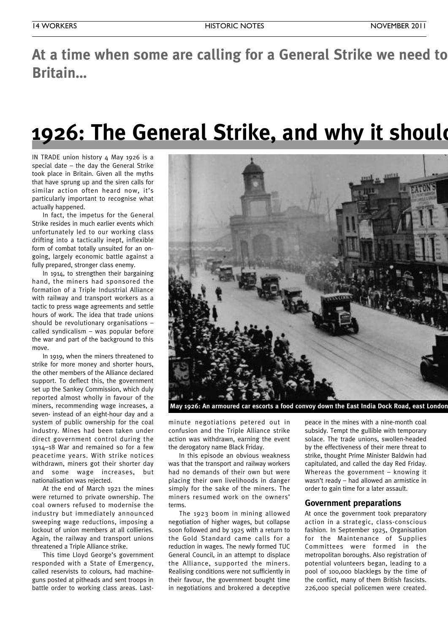At a time when some are calling for a General Strike we need to **Britain…**

# **1926: The General Strike, and why it should**

IN TRADE union history 4 May 1926 is a special date – the day the General Strike took place in Britain. Given all the myths that have sprung up and the siren calls for similar action often heard now, it's particularly important to recognise what actually happened.

In fact, the impetus for the General Strike resides in much earlier events which unfortunately led to our working class drifting into a tactically inept, inflexible form of combat totally unsuited for an ongoing, largely economic battle against a fully prepared, stronger class enemy.

In 1914, to strengthen their bargaining hand, the miners had sponsored the formation of a Triple Industrial Alliance with railway and transport workers as a tactic to press wage agreements and settle hours of work. The idea that trade unions should be revolutionary organisations – called syndicalism – was popular before the war and part of the background to this move.

In 1919, when the miners threatened to strike for more money and shorter hours, the other members of the Alliance declared support. To deflect this, the government set up the Sankey Commission, which duly reported almost wholly in favour of the miners, recommending wage increases, a seven- instead of an eight-hour day and a system of public ownership for the coal industry. Mines had been taken under direct government control during the 1914–18 War and remained so for a few peacetime years. With strike notices withdrawn, miners got their shorter day and some wage increases, but nationalisation was rejected.

At the end of March 1921 the mines were returned to private ownership. The coal owners refused to modernise the industry but immediately announced sweeping wage reductions, imposing a lockout of union members at all collieries. Again, the railway and transport unions threatened a Triple Alliance strike.

This time Lloyd George's government responded with a State of Emergency, called reservists to colours, had machineguns posted at pitheads and sent troops in battle order to working class areas. Last-



**May 1926: An armoured car escorts a food convoy down the East India Dock Road, east London.**

minute negotiations petered out in confusion and the Triple Alliance strike action was withdrawn, earning the event the derogatory name Black Friday.

In this episode an obvious weakness was that the transport and railway workers had no demands of their own but were placing their own livelihoods in danger simply for the sake of the miners. The miners resumed work on the owners' terms.

The 1923 boom in mining allowed negotiation of higher wages, but collapse soon followed and by 1925 with a return to the Gold Standard came calls for a reduction in wages. The newly formed TUC General Council, in an attempt to displace the Alliance, supported the miners. Realising conditions were not sufficiently in their favour, the government bought time in negotiations and brokered a deceptive

peace in the mines with a nine-month coal subsidy. Tempt the gullible with temporary solace. The trade unions, swollen-headed by the effectiveness of their mere threat to strike, thought Prime Minister Baldwin had capitulated, and called the day Red Friday. Whereas the government – knowing it wasn't ready – had allowed an armistice in order to gain time for a later assault.

### **Government preparations**

At once the government took preparatory action in a strategic, class-conscious fashion. In September 1925, Organisation for the Maintenance of Supplies Committees were formed in the metropolitan boroughs. Also registration of potential volunteers began, leading to a pool of 100,000 blacklegs by the time of the conflict, many of them British fascists. 226,000 special policemen were created.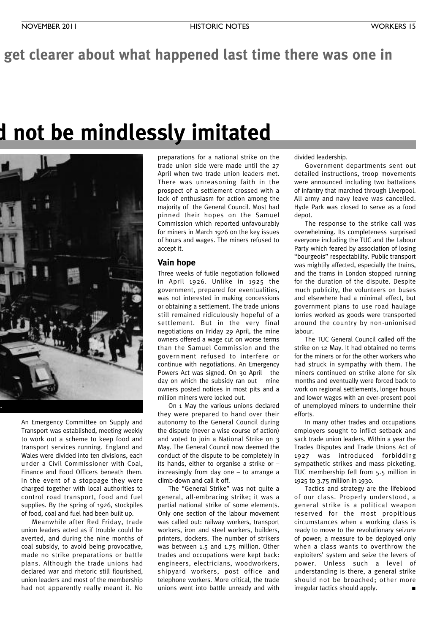### get clearer about what happened last time there was one in

# **1926: The General Strike, and why it should not be mindlessly imitated**



An Emergency Committee on Supply and Transport was established, meeting weekly to work out a scheme to keep food and transport services running. England and Wales were divided into ten divisions, each under a Civil Commissioner with Coal, Finance and Food Officers beneath them. In the event of a stoppage they were charged together with local authorities to control road transport, food and fuel supplies. By the spring of 1926, stockpiles of food, coal and fuel had been built up.

Meanwhile after Red Friday, trade union leaders acted as if trouble could be averted, and during the nine months of coal subsidy, to avoid being provocative, made no strike preparations or battle plans. Although the trade unions had declared war and rhetoric still flourished, union leaders and most of the membership had not apparently really meant it. No

preparations for a national strike on the trade union side were made until the 27 April when two trade union leaders met. There was unreasoning faith in the prospect of a settlement crossed with a lack of enthusiasm for action among the majority of the General Council. Most had pinned their hopes on the Samuel Commission which reported unfavourably for miners in March 1926 on the key issues of hours and wages. The miners refused to accept it.

### **Vain hope**

Three weeks of futile negotiation followed in April 1926. Unlike in 1925 the government, prepared for eventualities, was not interested in making concessions or obtaining a settlement. The trade unions still remained ridiculously hopeful of a settlement. But in the very final negotiations on Friday 29 April, the mine owners offered a wage cut on worse terms than the Samuel Commission and the government refused to interfere or continue with negotiations. An Emergency Powers Act was signed. On 30 April – the day on which the subsidy ran out – mine owners posted notices in most pits and a million miners were locked out.

On 1 May the various unions declared they were prepared to hand over their autonomy to the General Council during the dispute (never a wise course of action) and voted to join a National Strike on 3 May. The General Council now deemed the conduct of the dispute to be completely in its hands, either to organise a strike or – increasingly from day one – to arrange a climb-down and call it off.

The "General Strike" was not quite a general, all-embracing strike; it was a partial national strike of some elements. Only one section of the labour movement was called out: railway workers, transport workers, iron and steel workers, builders, printers, dockers. The number of strikers was between 1.5 and 1.75 million. Other trades and occupations were kept back: engineers, electricians, woodworkers, shipyard workers, post office and telephone workers. More critical, the trade unions went into battle unready and with divided leadership.

Government departments sent out detailed instructions, troop movements were announced including two battalions of infantry that marched through Liverpool. All army and navy leave was cancelled. Hyde Park was closed to serve as a food depot.

The response to the strike call was overwhelming. Its completeness surprised everyone including the TUC and the Labour Party which feared by association of losing "bourgeois" respectability. Public transport was mightily affected, especially the trains, and the trams in London stopped running for the duration of the dispute. Despite much publicity, the volunteers on buses and elsewhere had a minimal effect, but government plans to use road haulage lorries worked as goods were transported around the country by non-unionised labour.

The TUC General Council called off the strike on 12 May. It had obtained no terms for the miners or for the other workers who had struck in sympathy with them. The miners continued on strike alone for six months and eventually were forced back to work on regional settlements, longer hours and lower wages with an ever-present pool of unemployed miners to undermine their efforts.

In many other trades and occupations employers sought to inflict setback and sack trade union leaders. Within a year the Trades Disputes and Trade Unions Act of 1927 was introduced forbidding sympathetic strikes and mass picketing. TUC membership fell from 5.5 million in 1925 to 3.75 million in 1930.

Tactics and strategy are the lifeblood of our class. Properly understood, a general strike is a political weapon reserved for the most propitious circumstances when a working class is ready to move to the revolutionary seizure of power; a measure to be deployed only when a class wants to overthrow the exploiters' system and seize the levers of power. Unless such a level of understanding is there, a general strike should not be broached; other more irregular tactics should apply.